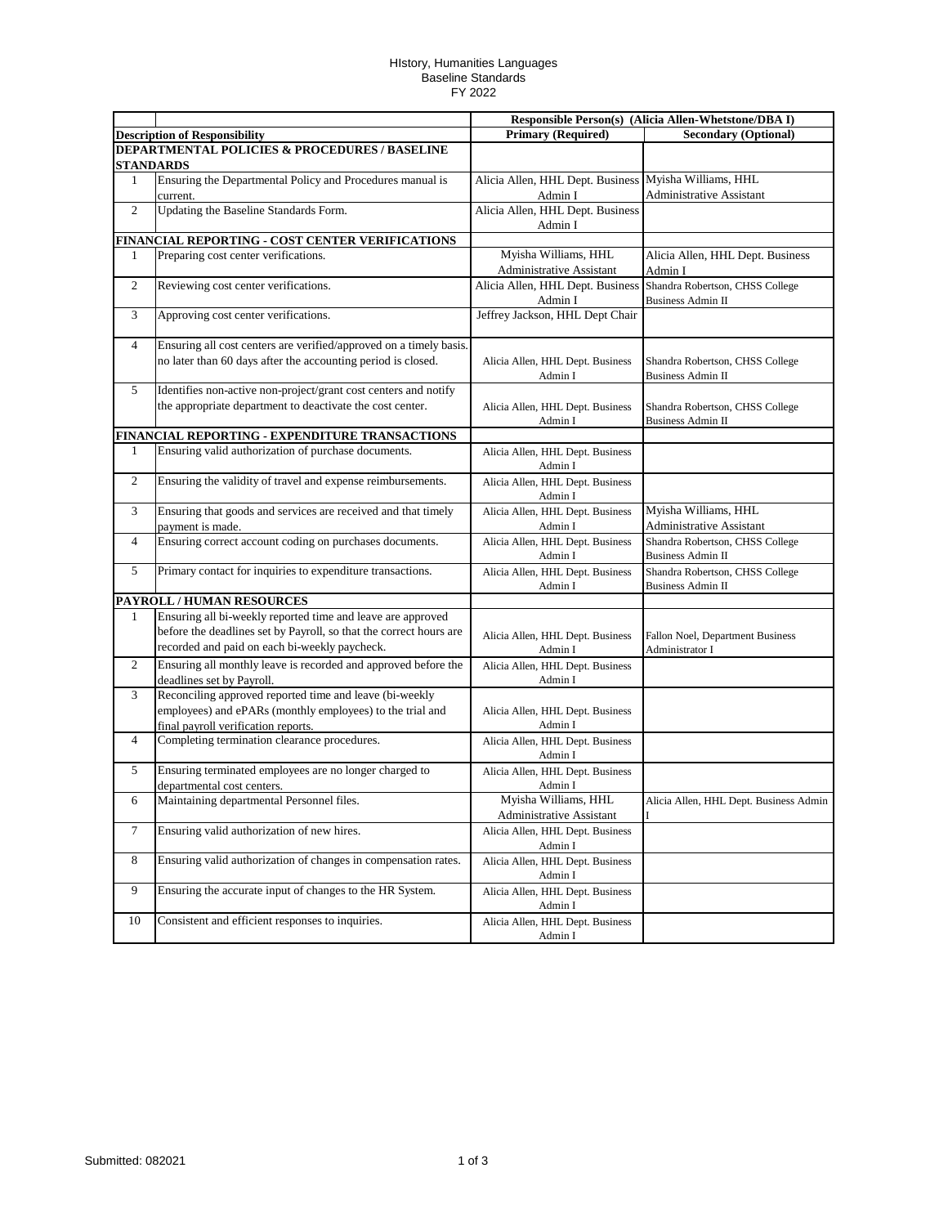## HIstory, Humanities Languages Baseline Standards FY 2022

|                                      |                                                                                                                                                                                    | Responsible Person(s) (Alicia Allen-Whetstone/DBA I)             |                                                             |
|--------------------------------------|------------------------------------------------------------------------------------------------------------------------------------------------------------------------------------|------------------------------------------------------------------|-------------------------------------------------------------|
| <b>Description of Responsibility</b> |                                                                                                                                                                                    | <b>Primary (Required)</b>                                        | <b>Secondary (Optional)</b>                                 |
|                                      | <b>DEPARTMENTAL POLICIES &amp; PROCEDURES / BASELINE</b><br><b>STANDARDS</b>                                                                                                       |                                                                  |                                                             |
| 1                                    | Ensuring the Departmental Policy and Procedures manual is<br>current.                                                                                                              | Alicia Allen, HHL Dept. Business Myisha Williams, HHL<br>Admin I | <b>Administrative Assistant</b>                             |
| $\overline{2}$                       | Updating the Baseline Standards Form.                                                                                                                                              | Alicia Allen, HHL Dept. Business<br>Admin I                      |                                                             |
|                                      | FINANCIAL REPORTING - COST CENTER VERIFICATIONS                                                                                                                                    |                                                                  |                                                             |
| 1                                    | Preparing cost center verifications.                                                                                                                                               | Myisha Williams, HHL<br><b>Administrative Assistant</b>          | Alicia Allen, HHL Dept. Business<br>Admin I                 |
| $\overline{c}$                       | Reviewing cost center verifications.                                                                                                                                               | Alicia Allen, HHL Dept. Business<br>Admin I                      | Shandra Robertson, CHSS College<br><b>Business Admin II</b> |
| 3                                    | Approving cost center verifications.                                                                                                                                               | Jeffrey Jackson, HHL Dept Chair                                  |                                                             |
| 4                                    | Ensuring all cost centers are verified/approved on a timely basis.<br>no later than 60 days after the accounting period is closed.                                                 | Alicia Allen, HHL Dept. Business<br>Admin I                      | Shandra Robertson, CHSS College<br><b>Business Admin II</b> |
| 5                                    | Identifies non-active non-project/grant cost centers and notify<br>the appropriate department to deactivate the cost center.                                                       | Alicia Allen, HHL Dept. Business<br>Admin I                      | Shandra Robertson, CHSS College<br><b>Business Admin II</b> |
|                                      | FINANCIAL REPORTING - EXPENDITURE TRANSACTIONS                                                                                                                                     |                                                                  |                                                             |
| 1                                    | Ensuring valid authorization of purchase documents.                                                                                                                                | Alicia Allen, HHL Dept. Business<br>Admin I                      |                                                             |
| $\overline{c}$                       | Ensuring the validity of travel and expense reimbursements.                                                                                                                        | Alicia Allen, HHL Dept. Business<br>Admin I                      |                                                             |
| 3                                    | Ensuring that goods and services are received and that timely<br>payment is made.                                                                                                  | Alicia Allen, HHL Dept. Business<br>Admin I                      | Myisha Williams, HHL<br><b>Administrative Assistant</b>     |
| $\overline{4}$                       | Ensuring correct account coding on purchases documents.                                                                                                                            | Alicia Allen, HHL Dept. Business<br>Admin I                      | Shandra Robertson, CHSS College<br><b>Business Admin II</b> |
| 5                                    | Primary contact for inquiries to expenditure transactions.                                                                                                                         | Alicia Allen, HHL Dept. Business<br>Admin I                      | Shandra Robertson, CHSS College<br><b>Business Admin II</b> |
|                                      | PAYROLL / HUMAN RESOURCES                                                                                                                                                          |                                                                  |                                                             |
| 1                                    | Ensuring all bi-weekly reported time and leave are approved<br>before the deadlines set by Payroll, so that the correct hours are<br>recorded and paid on each bi-weekly paycheck. | Alicia Allen, HHL Dept. Business<br>Admin I                      | Fallon Noel, Department Business<br>Administrator I         |
| $\overline{c}$                       | Ensuring all monthly leave is recorded and approved before the<br>deadlines set by Payroll.                                                                                        | Alicia Allen, HHL Dept. Business<br>Admin I                      |                                                             |
| 3                                    | Reconciling approved reported time and leave (bi-weekly<br>employees) and ePARs (monthly employees) to the trial and<br>final payroll verification reports.                        | Alicia Allen, HHL Dept. Business<br>Admin I                      |                                                             |
| 4                                    | Completing termination clearance procedures.                                                                                                                                       | Alicia Allen, HHL Dept. Business<br>Admin I                      |                                                             |
| 5                                    | Ensuring terminated employees are no longer charged to<br>departmental cost centers.                                                                                               | Alicia Allen, HHL Dept. Business<br>Admin I                      |                                                             |
| 6                                    | Maintaining departmental Personnel files.                                                                                                                                          | Myisha Williams, HHL<br>Administrative Assistant                 | Alicia Allen, HHL Dept. Business Admin                      |
| $\tau$                               | Ensuring valid authorization of new hires.                                                                                                                                         | Alicia Allen, HHL Dept. Business<br>Admin I                      |                                                             |
| $8\,$                                | Ensuring valid authorization of changes in compensation rates.                                                                                                                     | Alicia Allen, HHL Dept. Business<br>Admin I                      |                                                             |
| 9                                    | Ensuring the accurate input of changes to the HR System.                                                                                                                           | Alicia Allen, HHL Dept. Business<br>Admin I                      |                                                             |
| 10                                   | Consistent and efficient responses to inquiries.                                                                                                                                   | Alicia Allen, HHL Dept. Business<br>Admin I                      |                                                             |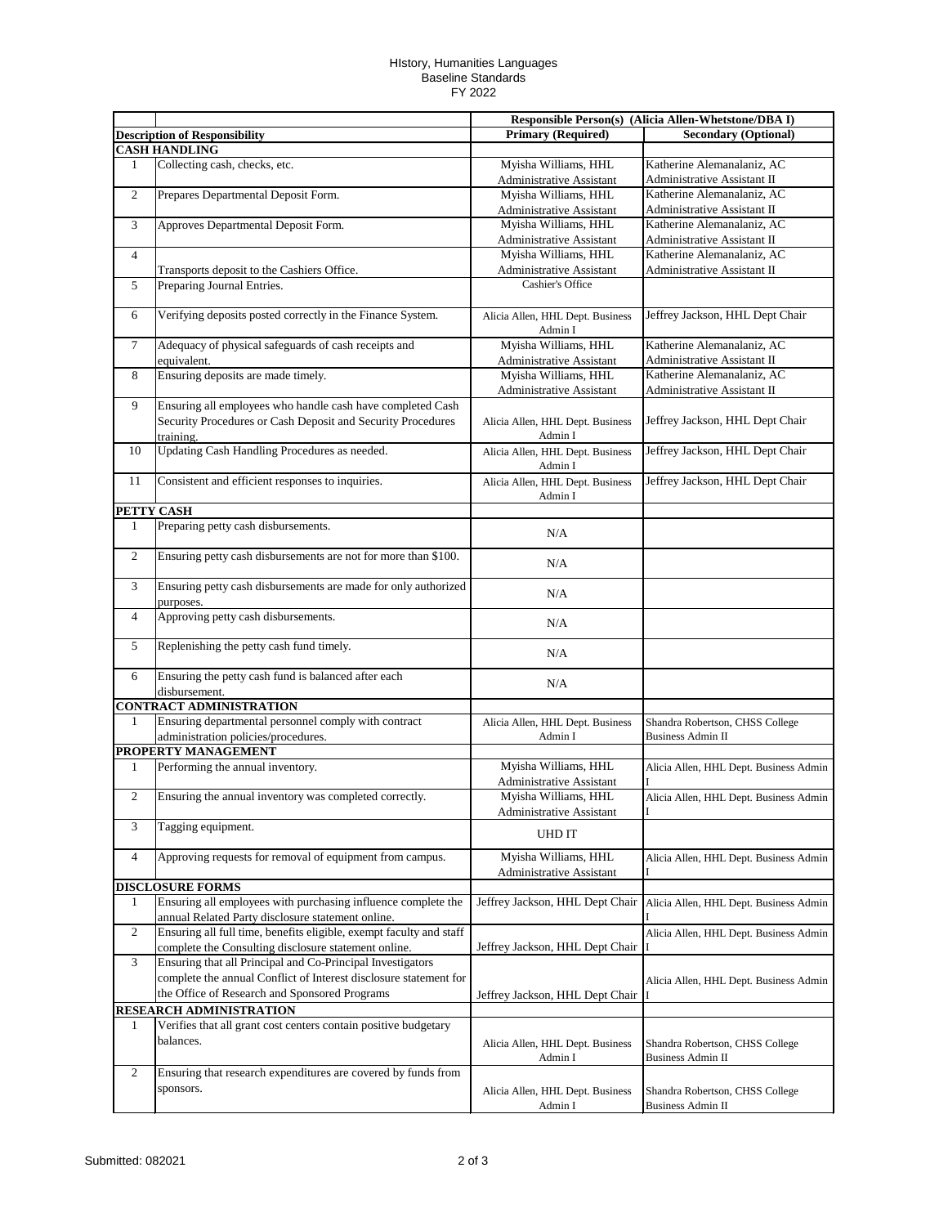## HIstory, Humanities Languages Baseline Standards FY 2022

|                |                                                                                                                          | Responsible Person(s) (Alicia Allen-Whetstone/DBA I) |                                                             |
|----------------|--------------------------------------------------------------------------------------------------------------------------|------------------------------------------------------|-------------------------------------------------------------|
|                | <b>Description of Responsibility</b>                                                                                     | <b>Primary (Required)</b>                            | <b>Secondary (Optional)</b>                                 |
|                | <b>CASH HANDLING</b>                                                                                                     |                                                      |                                                             |
| $\mathbf{1}$   | Collecting cash, checks, etc.                                                                                            | Myisha Williams, HHL                                 | Katherine Alemanalaniz, AC                                  |
|                |                                                                                                                          | <b>Administrative Assistant</b>                      | Administrative Assistant II                                 |
| $\sqrt{2}$     | Prepares Departmental Deposit Form.                                                                                      | Myisha Williams, HHL                                 | Katherine Alemanalaniz, AC                                  |
|                |                                                                                                                          | Administrative Assistant                             | Administrative Assistant II                                 |
| 3              | Approves Departmental Deposit Form.                                                                                      | Myisha Williams, HHL                                 | Katherine Alemanalaniz, AC                                  |
|                |                                                                                                                          | Administrative Assistant                             | Administrative Assistant II                                 |
| $\overline{4}$ |                                                                                                                          | Myisha Williams, HHL                                 | Katherine Alemanalaniz, AC                                  |
|                | Transports deposit to the Cashiers Office.                                                                               | <b>Administrative Assistant</b>                      | Administrative Assistant II                                 |
| 5              | Preparing Journal Entries.                                                                                               | Cashier's Office                                     |                                                             |
|                |                                                                                                                          |                                                      |                                                             |
| 6              | Verifying deposits posted correctly in the Finance System.                                                               | Alicia Allen, HHL Dept. Business<br>Admin I          | Jeffrey Jackson, HHL Dept Chair                             |
| $\tau$         | Adequacy of physical safeguards of cash receipts and                                                                     | Myisha Williams, HHL                                 | Katherine Alemanalaniz, AC                                  |
|                | equivalent.                                                                                                              | Administrative Assistant                             | Administrative Assistant II                                 |
| 8              | Ensuring deposits are made timely.                                                                                       | Myisha Williams, HHL                                 | Katherine Alemanalaniz, AC                                  |
|                |                                                                                                                          | Administrative Assistant                             | Administrative Assistant II                                 |
| 9              | Ensuring all employees who handle cash have completed Cash                                                               |                                                      |                                                             |
|                | Security Procedures or Cash Deposit and Security Procedures                                                              | Alicia Allen, HHL Dept. Business                     | Jeffrey Jackson, HHL Dept Chair                             |
|                | training.                                                                                                                | Admin I                                              |                                                             |
| 10             | Updating Cash Handling Procedures as needed.                                                                             | Alicia Allen, HHL Dept. Business                     | Jeffrey Jackson, HHL Dept Chair                             |
|                |                                                                                                                          | Admin I                                              |                                                             |
| 11             | Consistent and efficient responses to inquiries.                                                                         | Alicia Allen, HHL Dept. Business                     | Jeffrey Jackson, HHL Dept Chair                             |
|                |                                                                                                                          | Admin I                                              |                                                             |
| PETTY CASH     |                                                                                                                          |                                                      |                                                             |
| 1              | Preparing petty cash disbursements.                                                                                      | N/A                                                  |                                                             |
|                |                                                                                                                          |                                                      |                                                             |
| $\sqrt{2}$     | Ensuring petty cash disbursements are not for more than \$100.                                                           | N/A                                                  |                                                             |
|                |                                                                                                                          |                                                      |                                                             |
| 3              | Ensuring petty cash disbursements are made for only authorized                                                           | N/A                                                  |                                                             |
|                | purposes.                                                                                                                |                                                      |                                                             |
| $\overline{4}$ | Approving petty cash disbursements.                                                                                      | N/A                                                  |                                                             |
| 5              | Replenishing the petty cash fund timely.                                                                                 |                                                      |                                                             |
|                |                                                                                                                          | N/A                                                  |                                                             |
| 6              | Ensuring the petty cash fund is balanced after each                                                                      |                                                      |                                                             |
|                | disbursement.                                                                                                            | N/A                                                  |                                                             |
|                | <b>CONTRACT ADMINISTRATION</b>                                                                                           |                                                      |                                                             |
| 1              | Ensuring departmental personnel comply with contract                                                                     | Alicia Allen, HHL Dept. Business                     | Shandra Robertson, CHSS College                             |
|                | administration policies/procedures.                                                                                      | Admin I                                              | <b>Business Admin II</b>                                    |
|                | PROPERTY MANAGEMENT                                                                                                      |                                                      |                                                             |
| $\mathbf{1}$   | Performing the annual inventory.                                                                                         | Myisha Williams, HHL                                 | Alicia Allen, HHL Dept. Business Admin                      |
|                |                                                                                                                          | Administrative Assistant                             |                                                             |
| $\overline{2}$ | Ensuring the annual inventory was completed correctly.                                                                   | Myisha Williams, HHL                                 | Alicia Allen, HHL Dept. Business Admin                      |
|                |                                                                                                                          | Administrative Assistant                             |                                                             |
| 3              | Tagging equipment.                                                                                                       | <b>UHD IT</b>                                        |                                                             |
|                |                                                                                                                          |                                                      |                                                             |
| $\overline{4}$ | Approving requests for removal of equipment from campus.                                                                 | Myisha Williams, HHL                                 | Alicia Allen, HHL Dept. Business Admin                      |
|                |                                                                                                                          | <b>Administrative Assistant</b>                      |                                                             |
|                | <b>DISCLOSURE FORMS</b>                                                                                                  |                                                      |                                                             |
| 1              | Ensuring all employees with purchasing influence complete the                                                            | Jeffrey Jackson, HHL Dept Chair                      | Alicia Allen, HHL Dept. Business Admin                      |
| 2              | annual Related Party disclosure statement online.<br>Ensuring all full time, benefits eligible, exempt faculty and staff |                                                      |                                                             |
|                | complete the Consulting disclosure statement online.                                                                     | Jeffrey Jackson, HHL Dept Chair                      | Alicia Allen, HHL Dept. Business Admin                      |
| $\mathfrak{Z}$ | Ensuring that all Principal and Co-Principal Investigators                                                               |                                                      |                                                             |
|                | complete the annual Conflict of Interest disclosure statement for                                                        |                                                      |                                                             |
|                | the Office of Research and Sponsored Programs                                                                            | Jeffrey Jackson, HHL Dept Chair                      | Alicia Allen, HHL Dept. Business Admin                      |
|                | RESEARCH ADMINISTRATION                                                                                                  |                                                      |                                                             |
| 1              | Verifies that all grant cost centers contain positive budgetary                                                          |                                                      |                                                             |
|                | balances.                                                                                                                |                                                      |                                                             |
|                |                                                                                                                          | Alicia Allen, HHL Dept. Business                     | Shandra Robertson, CHSS College<br><b>Business Admin II</b> |
| $\overline{2}$ | Ensuring that research expenditures are covered by funds from                                                            | Admin I                                              |                                                             |
|                | sponsors.                                                                                                                |                                                      |                                                             |
|                |                                                                                                                          | Alicia Allen, HHL Dept. Business<br>Admin I          | Shandra Robertson, CHSS College<br><b>Business Admin II</b> |
|                |                                                                                                                          |                                                      |                                                             |